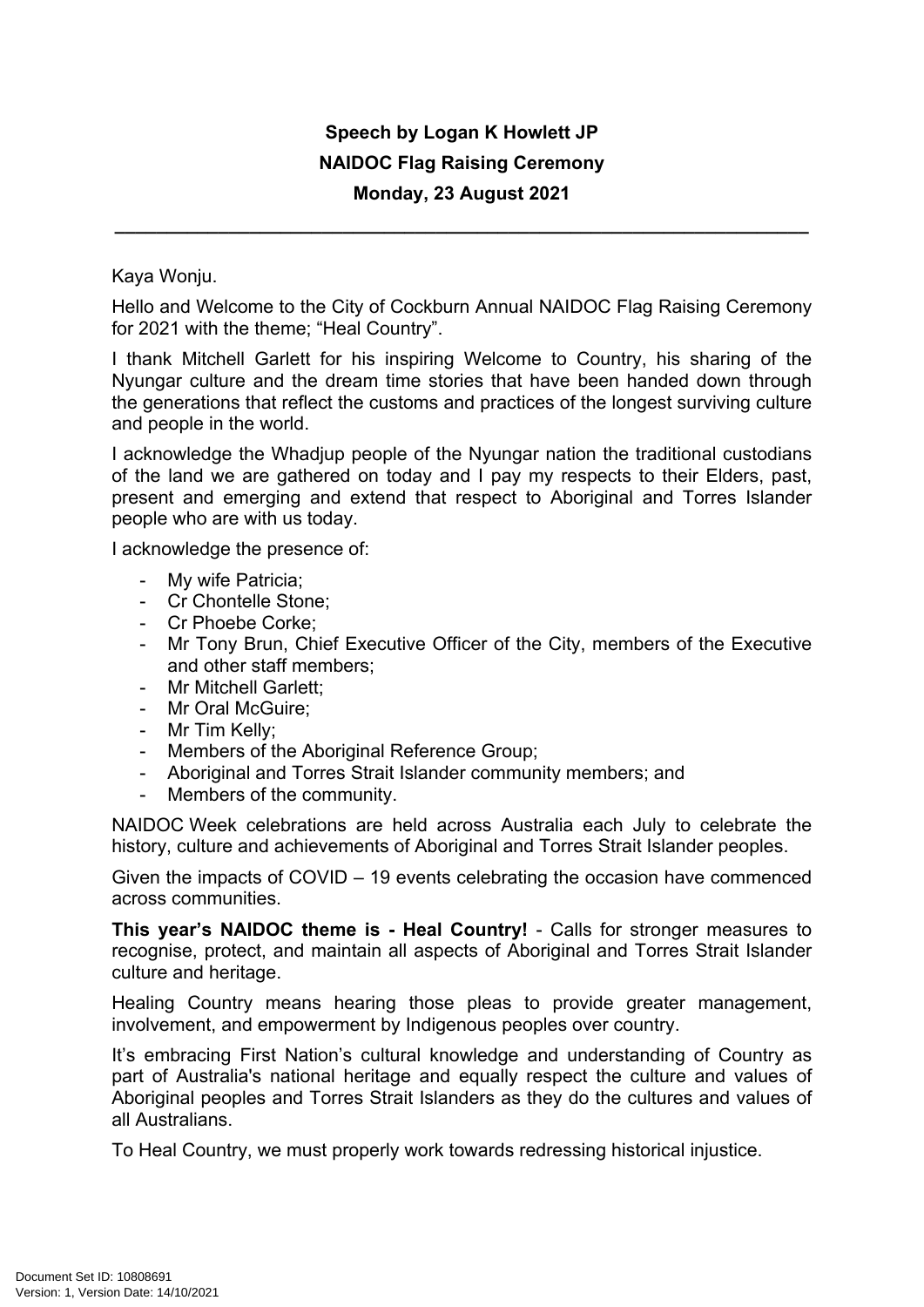## **Speech by Logan K Howlett JP NAIDOC Flag Raising Ceremony Monday, 23 August 2021**

**\_\_\_\_\_\_\_\_\_\_\_\_\_\_\_\_\_\_\_\_\_\_\_\_\_\_\_\_\_\_\_\_\_\_\_\_\_\_\_\_\_\_\_\_\_\_\_\_\_\_\_\_\_\_\_\_\_\_\_\_\_\_\_\_\_\_\_**

Kaya Wonju.

Hello and Welcome to the City of Cockburn Annual NAIDOC Flag Raising Ceremony for 2021 with the theme; "Heal Country".

I thank Mitchell Garlett for his inspiring Welcome to Country, his sharing of the Nyungar culture and the dream time stories that have been handed down through the generations that reflect the customs and practices of the longest surviving culture and people in the world.

I acknowledge the Whadjup people of the Nyungar nation the traditional custodians of the land we are gathered on today and I pay my respects to their Elders, past, present and emerging and extend that respect to Aboriginal and Torres Islander people who are with us today.

I acknowledge the presence of:

- My wife Patricia;
- Cr Chontelle Stone;
- Cr Phoebe Corke;
- Mr Tony Brun, Chief Executive Officer of the City, members of the Executive and other staff members;
- Mr Mitchell Garlett;
- Mr Oral McGuire:
- Mr Tim Kelly;
- Members of the Aboriginal Reference Group;
- Aboriginal and Torres Strait Islander community members; and
- Members of the community.

NAIDOC Week celebrations are held across Australia each July to celebrate the history, culture and achievements of Aboriginal and Torres Strait Islander peoples.

Given the impacts of COVID – 19 events celebrating the occasion have commenced across communities.

**This year's NAIDOC theme is - Heal Country!** - Calls for stronger measures to recognise, protect, and maintain all aspects of Aboriginal and Torres Strait Islander culture and heritage.

Healing Country means hearing those pleas to provide greater management, involvement, and empowerment by Indigenous peoples over country.

It's embracing First Nation's cultural knowledge and understanding of Country as part of Australia's national heritage and equally respect the culture and values of Aboriginal peoples and Torres Strait Islanders as they do the cultures and values of all Australians.

To Heal Country, we must properly work towards redressing historical injustice.